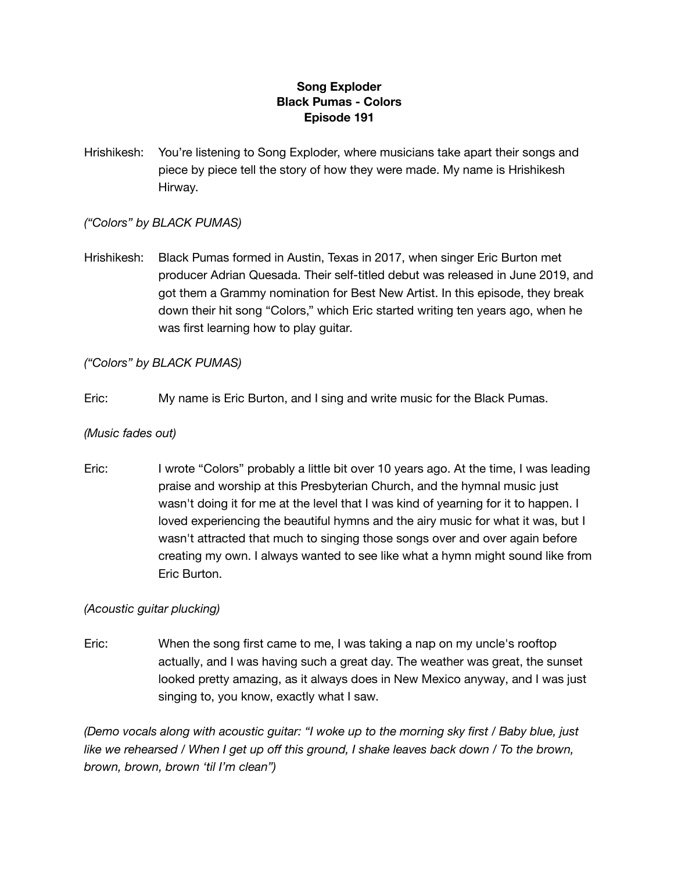# **Song Exploder Black Pumas - Colors Episode 191**

Hrishikesh: You're listening to Song Exploder, where musicians take apart their songs and piece by piece tell the story of how they were made. My name is Hrishikesh Hirway.

#### *("Colors" by BLACK PUMAS)*

Hrishikesh: Black Pumas formed in Austin, Texas in 2017, when singer Eric Burton met producer Adrian Quesada. Their self-titled debut was released in June 2019, and got them a Grammy nomination for Best New Artist. In this episode, they break down their hit song "Colors," which Eric started writing ten years ago, when he was first learning how to play guitar.

#### *("Colors" by BLACK PUMAS)*

Eric: My name is Eric Burton, and I sing and write music for the Black Pumas.

### *(Music fades out)*

Eric: I wrote "Colors" probably a little bit over 10 years ago. At the time, I was leading praise and worship at this Presbyterian Church, and the hymnal music just wasn't doing it for me at the level that I was kind of yearning for it to happen. I loved experiencing the beautiful hymns and the airy music for what it was, but I wasn't attracted that much to singing those songs over and over again before creating my own. I always wanted to see like what a hymn might sound like from Eric Burton.

# *(Acoustic guitar plucking)*

Eric: When the song first came to me, I was taking a nap on my uncle's rooftop actually, and I was having such a great day. The weather was great, the sunset looked pretty amazing, as it always does in New Mexico anyway, and I was just singing to, you know, exactly what I saw.

*(Demo vocals along with acoustic guitar: "I woke up to the morning sky first / Baby blue, just* like we rehearsed / When I get up off this ground, I shake leaves back down / To the brown, *brown, brown, brown 'til I'm clean")*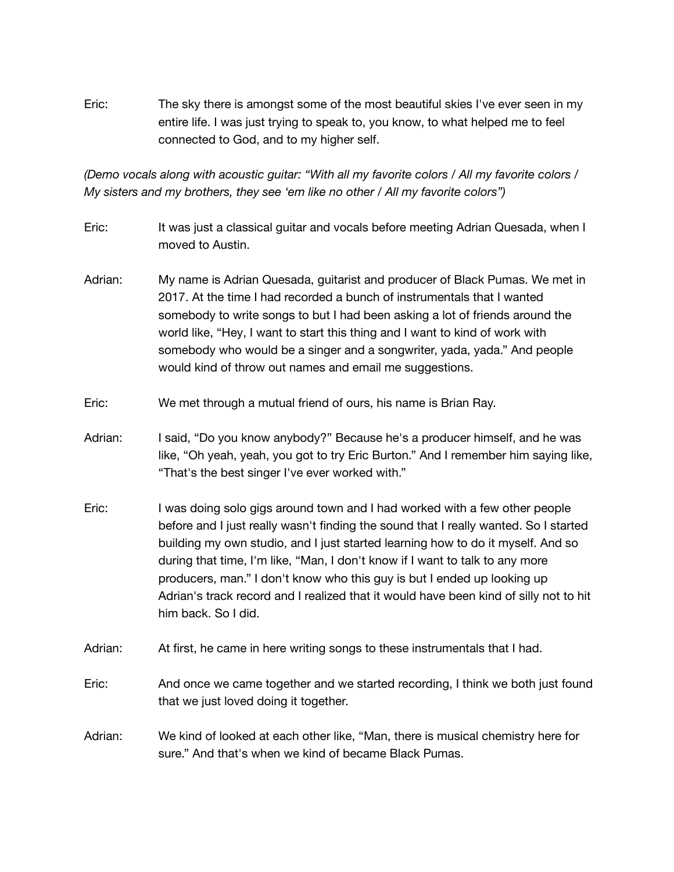Eric: The sky there is amongst some of the most beautiful skies I've ever seen in my entire life. I was just trying to speak to, you know, to what helped me to feel connected to God, and to my higher self.

*(Demo vocals along with acoustic guitar: "With all my favorite colors / All my favorite colors / My sisters and my brothers, they see 'em like no other / All my favorite colors")*

- Eric: It was just a classical guitar and vocals before meeting Adrian Quesada, when I moved to Austin.
- Adrian: My name is Adrian Quesada, guitarist and producer of Black Pumas. We met in 2017. At the time I had recorded a bunch of instrumentals that I wanted somebody to write songs to but I had been asking a lot of friends around the world like, "Hey, I want to start this thing and I want to kind of work with somebody who would be a singer and a songwriter, yada, yada." And people would kind of throw out names and email me suggestions.
- Eric: We met through a mutual friend of ours, his name is Brian Ray.
- Adrian: I said, "Do you know anybody?" Because he's a producer himself, and he was like, "Oh yeah, yeah, you got to try Eric Burton." And I remember him saying like, "That's the best singer I've ever worked with."
- Eric: I was doing solo gigs around town and I had worked with a few other people before and I just really wasn't finding the sound that I really wanted. So I started building my own studio, and I just started learning how to do it myself. And so during that time, I'm like, "Man, I don't know if I want to talk to any more producers, man." I don't know who this guy is but I ended up looking up Adrian's track record and I realized that it would have been kind of silly not to hit him back. So I did.
- Adrian: At first, he came in here writing songs to these instrumentals that I had.
- Eric: And once we came together and we started recording, I think we both just found that we just loved doing it together.
- Adrian: We kind of looked at each other like, "Man, there is musical chemistry here for sure." And that's when we kind of became Black Pumas.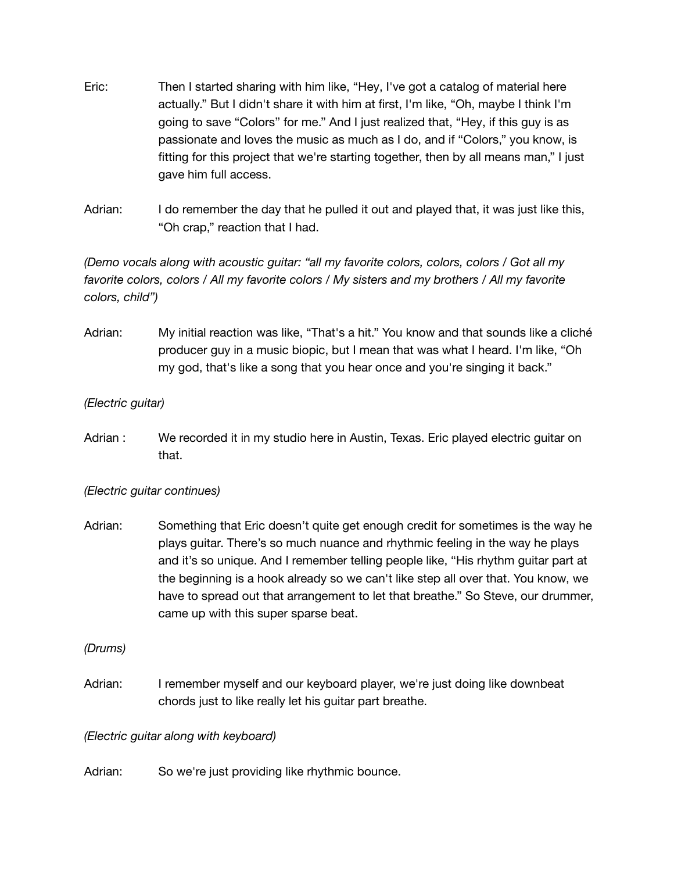- Eric: Then I started sharing with him like, "Hey, I've got a catalog of material here actually." But I didn't share it with him at first, I'm like, "Oh, maybe I think I'm going to save "Colors" for me." And I just realized that, "Hey, if this guy is as passionate and loves the music as much as I do, and if "Colors," you know, is fitting for this project that we're starting together, then by all means man," I just gave him full access.
- Adrian: I do remember the day that he pulled it out and played that, it was just like this, "Oh crap," reaction that I had.

*(Demo vocals along with acoustic guitar: "all my favorite colors, colors, colors / Got all my favorite colors, colors / All my favorite colors / My sisters and my brothers / All my favorite colors, child")*

Adrian: My initial reaction was like, "That's a hit." You know and that sounds like a cliché producer guy in a music biopic, but I mean that was what I heard. I'm like, "Oh my god, that's like a song that you hear once and you're singing it back."

# *(Electric guitar)*

Adrian : We recorded it in my studio here in Austin, Texas. Eric played electric guitar on that.

# *(Electric guitar continues)*

Adrian: Something that Eric doesn't quite get enough credit for sometimes is the way he plays guitar. There's so much nuance and rhythmic feeling in the way he plays and it's so unique. And I remember telling people like, "His rhythm guitar part at the beginning is a hook already so we can't like step all over that. You know, we have to spread out that arrangement to let that breathe." So Steve, our drummer, came up with this super sparse beat.

# *(Drums)*

Adrian: I remember myself and our keyboard player, we're just doing like downbeat chords just to like really let his guitar part breathe.

# *(Electric guitar along with keyboard)*

Adrian: So we're just providing like rhythmic bounce.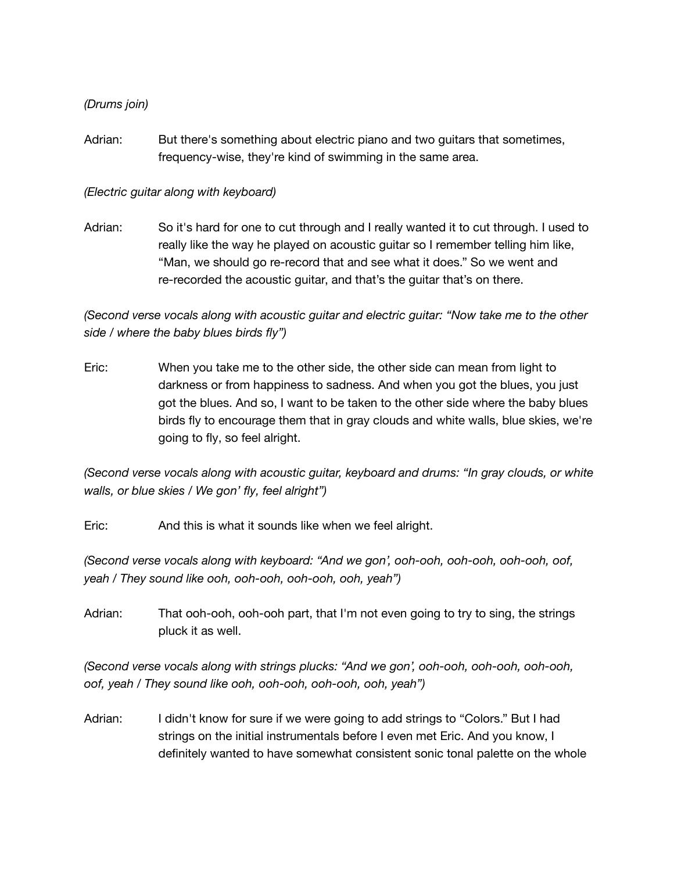# *(Drums join)*

Adrian: But there's something about electric piano and two guitars that sometimes, frequency-wise, they're kind of swimming in the same area.

#### *(Electric guitar along with keyboard)*

Adrian: So it's hard for one to cut through and I really wanted it to cut through. I used to really like the way he played on acoustic guitar so I remember telling him like, "Man, we should go re-record that and see what it does." So we went and re-recorded the acoustic guitar, and that's the guitar that's on there.

*(Second verse vocals along with acoustic guitar and electric guitar: "Now take me to the other side / where the baby blues birds fly")*

Eric: When you take me to the other side, the other side can mean from light to darkness or from happiness to sadness. And when you got the blues, you just got the blues. And so, I want to be taken to the other side where the baby blues birds fly to encourage them that in gray clouds and white walls, blue skies, we're going to fly, so feel alright.

*(Second verse vocals along with acoustic guitar, keyboard and drums: "In gray clouds, or white walls, or blue skies / We gon' fly, feel alright")*

Eric: And this is what it sounds like when we feel alright.

*(Second verse vocals along with keyboard: "And we gon', ooh-ooh, ooh-ooh, ooh-ooh, oof, yeah / They sound like ooh, ooh-ooh, ooh-ooh, ooh, yeah")*

Adrian: That ooh-ooh, ooh-ooh part, that I'm not even going to try to sing, the strings pluck it as well.

*(Second verse vocals along with strings plucks: "And we gon', ooh-ooh, ooh-ooh, ooh-ooh, oof, yeah / They sound like ooh, ooh-ooh, ooh-ooh, ooh, yeah")*

Adrian: I didn't know for sure if we were going to add strings to "Colors." But I had strings on the initial instrumentals before I even met Eric. And you know, I definitely wanted to have somewhat consistent sonic tonal palette on the whole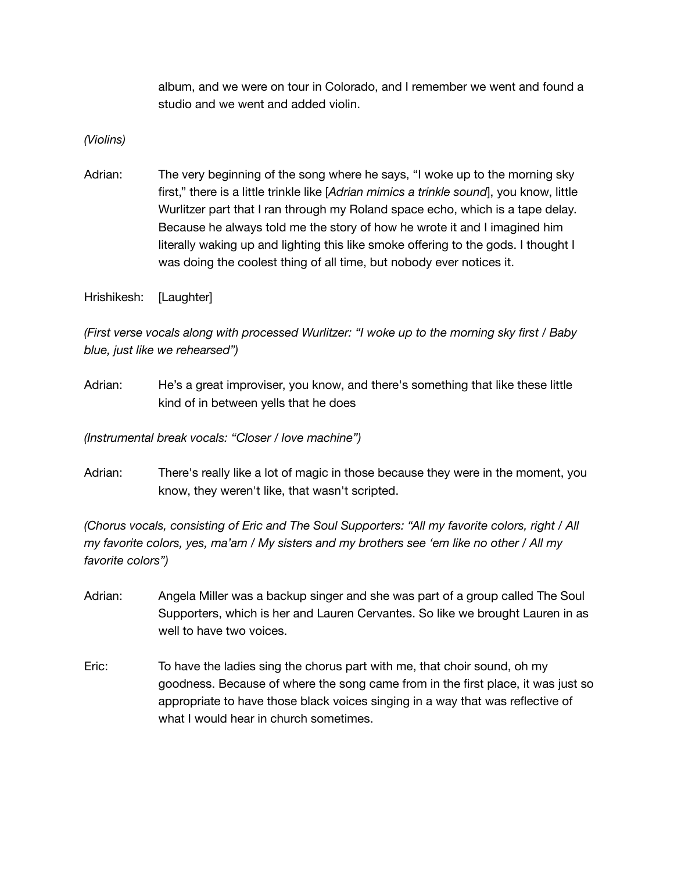album, and we were on tour in Colorado, and I remember we went and found a studio and we went and added violin.

*(Violins)*

Adrian: The very beginning of the song where he says, "I woke up to the morning sky first," there is a little trinkle like [*Adrian mimics a trinkle sound*], you know, little Wurlitzer part that I ran through my Roland space echo, which is a tape delay. Because he always told me the story of how he wrote it and I imagined him literally waking up and lighting this like smoke offering to the gods. I thought I was doing the coolest thing of all time, but nobody ever notices it.

Hrishikesh: [Laughter]

*(First verse vocals along with processed Wurlitzer: "I woke up to the morning sky first / Baby blue, just like we rehearsed")*

Adrian: He's a great improviser, you know, and there's something that like these little kind of in between yells that he does

*(Instrumental break vocals: "Closer / love machine")*

Adrian: There's really like a lot of magic in those because they were in the moment, you know, they weren't like, that wasn't scripted.

*(Chorus vocals, consisting of Eric and The Soul Supporters: "All my favorite colors, right / All my favorite colors, yes, ma'am / My sisters and my brothers see 'em like no other / All my favorite colors")*

- Adrian: Angela Miller was a backup singer and she was part of a group called The Soul Supporters, which is her and Lauren Cervantes. So like we brought Lauren in as well to have two voices.
- Eric: To have the ladies sing the chorus part with me, that choir sound, oh my goodness. Because of where the song came from in the first place, it was just so appropriate to have those black voices singing in a way that was reflective of what I would hear in church sometimes.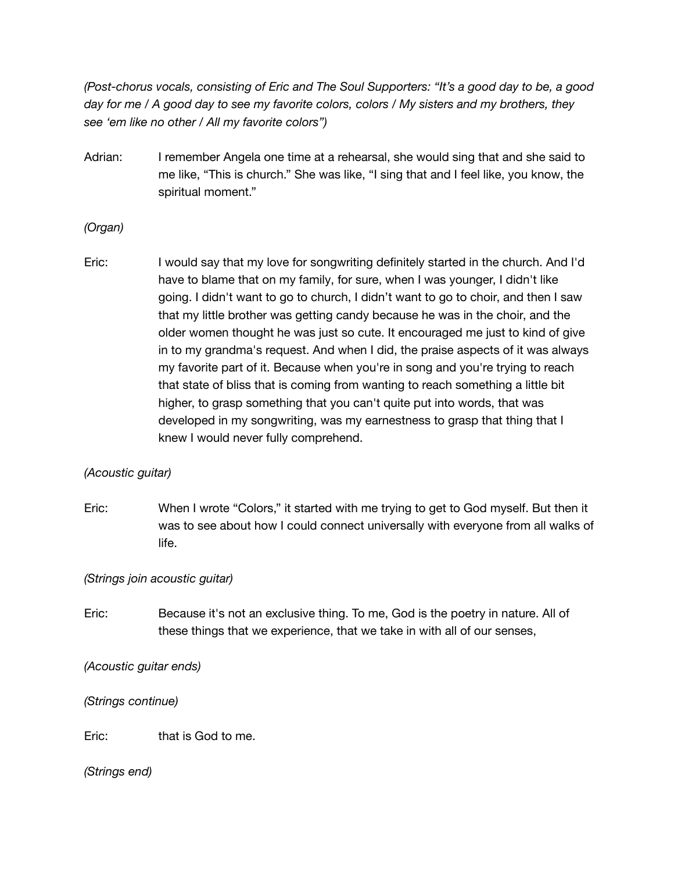*(Post-chorus vocals, consisting of Eric and The Soul Supporters: "It's a good day to be, a good* day for me / A good day to see my favorite colors, colors / My sisters and my brothers, they *see 'em like no other / All my favorite colors")*

Adrian: I remember Angela one time at a rehearsal, she would sing that and she said to me like, "This is church." She was like, "I sing that and I feel like, you know, the spiritual moment."

*(Organ)*

Eric: I would say that my love for songwriting definitely started in the church. And I'd have to blame that on my family, for sure, when I was younger, I didn't like going. I didn't want to go to church, I didn't want to go to choir, and then I saw that my little brother was getting candy because he was in the choir, and the older women thought he was just so cute. It encouraged me just to kind of give in to my grandma's request. And when I did, the praise aspects of it was always my favorite part of it. Because when you're in song and you're trying to reach that state of bliss that is coming from wanting to reach something a little bit higher, to grasp something that you can't quite put into words, that was developed in my songwriting, was my earnestness to grasp that thing that I knew I would never fully comprehend.

# *(Acoustic guitar)*

Eric: When I wrote "Colors," it started with me trying to get to God myself. But then it was to see about how I could connect universally with everyone from all walks of life.

# *(Strings join acoustic guitar)*

Eric: Because it's not an exclusive thing. To me, God is the poetry in nature. All of these things that we experience, that we take in with all of our senses,

*(Acoustic guitar ends)*

*(Strings continue)*

Eric: that is God to me.

*(Strings end)*